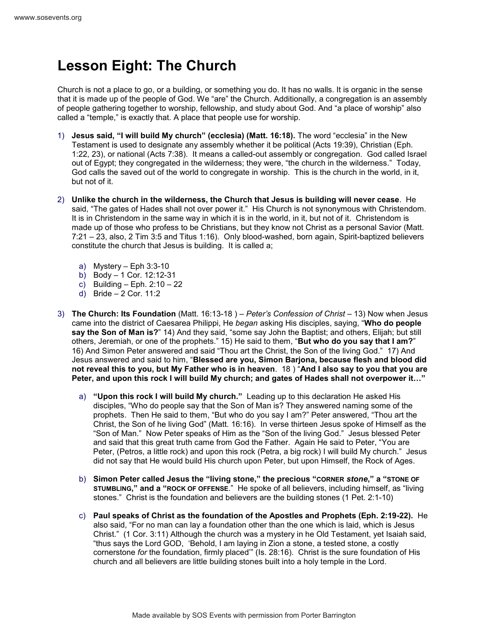## **Lesson Eight: The Church**

Church is not a place to go, or a building, or something you do. It has no walls. It is organic in the sense that it is made up of the people of God. We "are" the Church. Additionally, a congregation is an assembly of people gathering together to worship, fellowship, and study about God. And "a place of worship" also called a "temple," is exactly that. A place that people use for worship.

- 1) **Jesus said, "I will build My church" (ecclesia) (Matt. 16:18).** The word "ecclesia" in the New Testament is used to designate any assembly whether it be political (Acts 19:39), Christian (Eph. 1:22, 23), or national (Acts 7:38). It means a called-out assembly or congregation. God called Israel out of Egypt; they congregated in the wilderness; they were, "the church in the wilderness." Today, God calls the saved out of the world to congregate in worship. This is the church in the world, in it, but not of it.
- 2) **Unlike the church in the wilderness, the Church that Jesus is building will never cease**. He said, "The gates of Hades shall not over power it." His Church is not synonymous with Christendom. It is in Christendom in the same way in which it is in the world, in it, but not of it. Christendom is made up of those who profess to be Christians, but they know not Christ as a personal Savior (Matt. 7:21 – 23, also, 2 Tim 3:5 and Titus 1:16). Only blood-washed, born again, Spirit-baptized believers constitute the church that Jesus is building. It is called a;
	- a) Mystery Eph 3:3-10
	- b) Body 1 Cor. 12:12-31
	- c) Building Eph.  $2:10 22$
	- d) Bride 2 Cor. 11:2
- 3) **The Church: Its Foundation** (Matt. 16:13-18 ) *Peter's Confession of Christ* 13) Now when Jesus came into the district of Caesarea Philippi, He *began* asking His disciples, saying, "**Who do people say the Son of Man is?**" 14) And they said, "some say John the Baptist; and others, Elijah; but still others, Jeremiah, or one of the prophets." 15) He said to them, "**But who do you say that I am?**" 16) And Simon Peter answered and said "Thou art the Christ, the Son of the living God." 17) And Jesus answered and said to him, "**Blessed are you, Simon Barjona, because flesh and blood did not reveal this to you, but My Father who is in heaven**. 18 ) "**And I also say to you that you are Peter, and upon this rock I will build My church; and gates of Hades shall not overpower it…"**
	- a) **"Upon this rock I will build My church."** Leading up to this declaration He asked His disciples, "Who do people say that the Son of Man is? They answered naming some of the prophets. Then He said to them, "But who do you say I am?" Peter answered, "Thou art the Christ, the Son of he living God" (Matt. 16:16). In verse thirteen Jesus spoke of Himself as the "Son of Man." Now Peter speaks of Him as the "Son of the living God." Jesus blessed Peter and said that this great truth came from God the Father. Again He said to Peter, "You are Peter, (Petros, a little rock) and upon this rock (Petra, a big rock) I will build My church." Jesus did not say that He would build His church upon Peter, but upon Himself, the Rock of Ages.
	- b) **Simon Peter called Jesus the "living stone," the precious "CORNER** *stone***," a "STONE OF STUMBLING," and a "ROCK OF OFFENSE**." He spoke of all believers, including himself, as "living stones." Christ is the foundation and believers are the building stones (1 Pet. 2:1-10)
	- c) **Paul speaks of Christ as the foundation of the Apostles and Prophets (Eph. 2:19-22).** He also said, "For no man can lay a foundation other than the one which is laid, which is Jesus Christ." (1 Cor. 3:11) Although the church was a mystery in he Old Testament, yet Isaiah said, "thus says the Lord GOD, 'Behold, I am laying in Zion a stone, a tested stone, a costly cornerstone *for* the foundation, firmly placed'" (Is. 28:16). Christ is the sure foundation of His church and all believers are little building stones built into a holy temple in the Lord.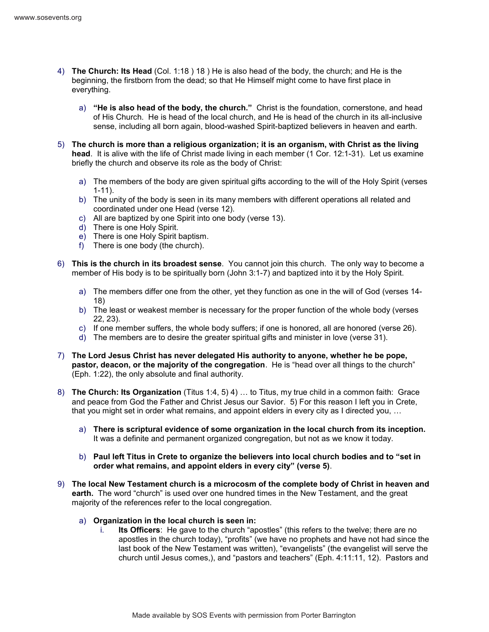- 4) **The Church: Its Head** (Col. 1:18 ) 18 ) He is also head of the body, the church; and He is the beginning, the firstborn from the dead; so that He Himself might come to have first place in everything.
	- a) **"He is also head of the body, the church."** Christ is the foundation, cornerstone, and head of His Church. He is head of the local church, and He is head of the church in its all-inclusive sense, including all born again, blood-washed Spirit-baptized believers in heaven and earth.
- 5) **The church is more than a religious organization; it is an organism, with Christ as the living head**. It is alive with the life of Christ made living in each member (1 Cor. 12:1-31). Let us examine briefly the church and observe its role as the body of Christ:
	- a) The members of the body are given spiritual gifts according to the will of the Holy Spirit (verses 1-11).
	- b) The unity of the body is seen in its many members with different operations all related and coordinated under one Head (verse 12).
	- c) All are baptized by one Spirit into one body (verse 13).
	- d) There is one Holy Spirit.
	- e) There is one Holy Spirit baptism.
	- f) There is one body (the church).
- 6) **This is the church in its broadest sense**. You cannot join this church. The only way to become a member of His body is to be spiritually born (John 3:1-7) and baptized into it by the Holy Spirit.
	- a) The members differ one from the other, yet they function as one in the will of God (verses 14- 18)
	- b) The least or weakest member is necessary for the proper function of the whole body (verses 22, 23).
	- c) If one member suffers, the whole body suffers; if one is honored, all are honored (verse 26).
	- d) The members are to desire the greater spiritual gifts and minister in love (verse 31).
- 7) **The Lord Jesus Christ has never delegated His authority to anyone, whether he be pope, pastor, deacon, or the majority of the congregation**. He is "head over all things to the church" (Eph. 1:22), the only absolute and final authority.
- 8) **The Church: Its Organization** (Titus 1:4, 5) 4) … to Titus, my true child in a common faith: Grace and peace from God the Father and Christ Jesus our Savior. 5) For this reason I left you in Crete, that you might set in order what remains, and appoint elders in every city as I directed you, …
	- a) **There is scriptural evidence of some organization in the local church from its inception.** It was a definite and permanent organized congregation, but not as we know it today.
	- b) **Paul left Titus in Crete to organize the believers into local church bodies and to "set in order what remains, and appoint elders in every city" (verse 5)**.
- 9) **The local New Testament church is a microcosm of the complete body of Christ in heaven and earth.** The word "church" is used over one hundred times in the New Testament, and the great majority of the references refer to the local congregation.
	- a) **Organization in the local church is seen in:**
		- i. **Its Officers**: He gave to the church "apostles" (this refers to the twelve; there are no apostles in the church today), "profits" (we have no prophets and have not had since the last book of the New Testament was written), "evangelists" (the evangelist will serve the church until Jesus comes,), and "pastors and teachers" (Eph. 4:11:11, 12). Pastors and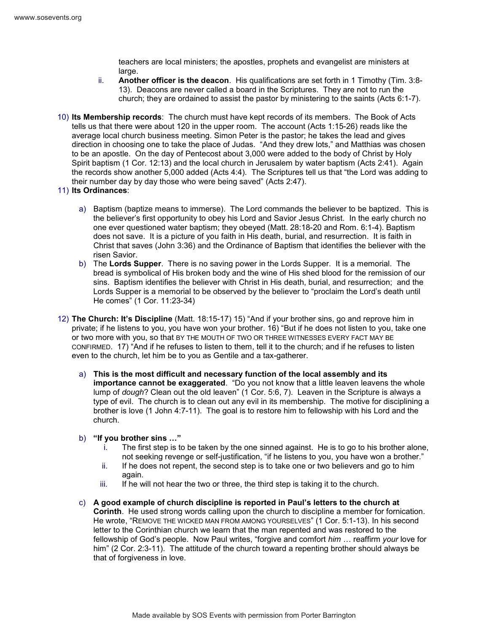teachers are local ministers; the apostles, prophets and evangelist are ministers at large.

- ii. **Another officer is the deacon**. His qualifications are set forth in 1 Timothy (Tim. 3:8- 13). Deacons are never called a board in the Scriptures. They are not to run the church; they are ordained to assist the pastor by ministering to the saints (Acts 6:1-7).
- 10) **Its Membership records**: The church must have kept records of its members. The Book of Acts tells us that there were about 120 in the upper room. The account (Acts 1:15-26) reads like the average local church business meeting. Simon Peter is the pastor; he takes the lead and gives direction in choosing one to take the place of Judas. "And they drew lots," and Matthias was chosen to be an apostle. On the day of Pentecost about 3,000 were added to the body of Christ by Holy Spirit baptism (1 Cor. 12:13) and the local church in Jerusalem by water baptism (Acts 2:41). Again the records show another 5,000 added (Acts 4:4). The Scriptures tell us that "the Lord was adding to their number day by day those who were being saved" (Acts 2:47).
- 11) **Its Ordinances**:
	- a) Baptism (baptize means to immerse). The Lord commands the believer to be baptized. This is the believer's first opportunity to obey his Lord and Savior Jesus Christ. In the early church no one ever questioned water baptism; they obeyed (Matt. 28:18-20 and Rom. 6:1-4). Baptism does not save. It is a picture of you faith in His death, burial, and resurrection. It is faith in Christ that saves (John 3:36) and the Ordinance of Baptism that identifies the believer with the risen Savior.
	- b) The **Lords Supper**. There is no saving power in the Lords Supper. It is a memorial. The bread is symbolical of His broken body and the wine of His shed blood for the remission of our sins. Baptism identifies the believer with Christ in His death, burial, and resurrection; and the Lords Supper is a memorial to be observed by the believer to "proclaim the Lord's death until He comes" (1 Cor. 11:23-34)
- 12) **The Church: It's Discipline** (Matt. 18:15-17) 15) "And if your brother sins, go and reprove him in private; if he listens to you, you have won your brother. 16) "But if he does not listen to you, take one or two more with you, so that BY THE MOUTH OF TWO OR THREE WITNESSES EVERY FACT MAY BE CONFIRMED. 17) "And if he refuses to listen to them, tell it to the church; and if he refuses to listen even to the church, let him be to you as Gentile and a tax-gatherer.
	- a) **This is the most difficult and necessary function of the local assembly and its importance cannot be exaggerated**. "Do you not know that a little leaven leavens the whole lump of *dough*? Clean out the old leaven" (1 Cor. 5:6, 7). Leaven in the Scripture is always a type of evil. The church is to clean out any evil in its membership. The motive for disciplining a brother is love (1 John 4:7-11). The goal is to restore him to fellowship with his Lord and the church.
	- b) **"If you brother sins …"**
		- i. The first step is to be taken by the one sinned against. He is to go to his brother alone, not seeking revenge or self-justification, "if he listens to you, you have won a brother."
		- ii. If he does not repent, the second step is to take one or two believers and go to him again.
		- iii. If he will not hear the two or three, the third step is taking it to the church.
	- c) **A good example of church discipline is reported in Paul's letters to the church at Corinth**. He used strong words calling upon the church to discipline a member for fornication. He wrote, "REMOVE THE WICKED MAN FROM AMONG YOURSELVES" (1 Cor. 5:1-13). In his second letter to the Corinthian church we learn that the man repented and was restored to the fellowship of God's people. Now Paul writes, "forgive and comfort *him* … reaffirm *your* love for him" (2 Cor. 2:3-11). The attitude of the church toward a repenting brother should always be that of forgiveness in love.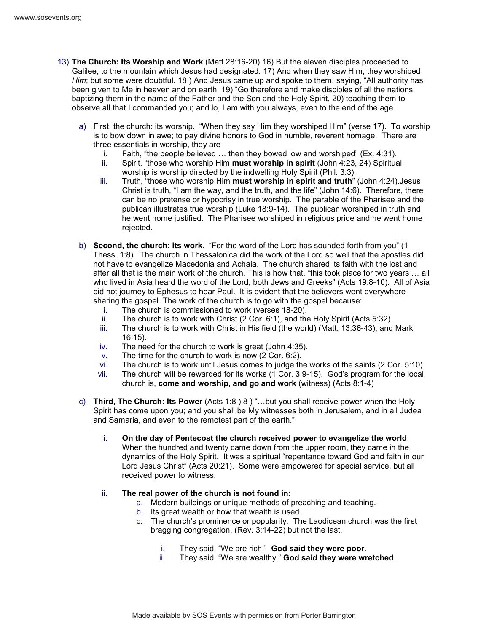- 13) **The Church: Its Worship and Work** (Matt 28:16-20) 16) But the eleven disciples proceeded to Galilee, to the mountain which Jesus had designated. 17) And when they saw Him, they worshiped *Him*; but some were doubtful. 18 ) And Jesus came up and spoke to them, saying, "All authority has been given to Me in heaven and on earth. 19) "Go therefore and make disciples of all the nations, baptizing them in the name of the Father and the Son and the Holy Spirit, 20) teaching them to observe all that I commanded you; and lo, I am with you always, even to the end of the age.
	- a) First, the church: its worship. "When they say Him they worshiped Him" (verse 17). To worship is to bow down in awe; to pay divine honors to God in humble, reverent homage. There are three essentials in worship, they are
		- i. Faith, "the people believed … then they bowed low and worshiped" (Ex. 4:31).
		- ii. Spirit, "those who worship Him **must worship in spirit** (John 4:23, 24) Spiritual worship is worship directed by the indwelling Holy Spirit (Phil. 3:3).
		- iii. Truth, "those who worship Him **must worship in spirit and truth**" (John 4:24).Jesus Christ is truth, "I am the way, and the truth, and the life" (John 14:6). Therefore, there can be no pretense or hypocrisy in true worship. The parable of the Pharisee and the publican illustrates true worship (Luke 18:9-14). The publican worshiped in truth and he went home justified. The Pharisee worshiped in religious pride and he went home rejected.
	- b) **Second, the church: its work**. "For the word of the Lord has sounded forth from you" (1 Thess. 1:8). The church in Thessalonica did the work of the Lord so well that the apostles did not have to evangelize Macedonia and Achaia. The church shared its faith with the lost and after all that is the main work of the church. This is how that, "this took place for two years … all who lived in Asia heard the word of the Lord, both Jews and Greeks" (Acts 19:8-10). All of Asia did not journey to Ephesus to hear Paul. It is evident that the believers went everywhere sharing the gospel. The work of the church is to go with the gospel because:
		- i. The church is commissioned to work (verses 18-20).
		- ii. The church is to work with Christ (2 Cor. 6:1), and the Holy Spirit (Acts 5:32).
		- iii. The church is to work with Christ in His field (the world) (Matt. 13:36-43); and Mark 16:15).
		- iv. The need for the church to work is great (John 4:35).
		- v. The time for the church to work is now (2 Cor. 6:2).<br>vi. The church is to work until Jesus comes to judge the
		- The church is to work until Jesus comes to judge the works of the saints (2 Cor. 5:10).
		- vii. The church will be rewarded for its works (1 Cor. 3:9-15). God's program for the local church is, **come and worship, and go and work** (witness) (Acts 8:1-4)
	- c) **Third, The Church: Its Power** (Acts 1:8 ) 8 ) "…but you shall receive power when the Holy Spirit has come upon you; and you shall be My witnesses both in Jerusalem, and in all Judea and Samaria, and even to the remotest part of the earth."
		- i. **On the day of Pentecost the church received power to evangelize the world**. When the hundred and twenty came down from the upper room, they came in the dynamics of the Holy Spirit. It was a spiritual "repentance toward God and faith in our Lord Jesus Christ" (Acts 20:21). Some were empowered for special service, but all received power to witness.
		- ii. **The real power of the church is not found in**:
			- a. Modern buildings or unique methods of preaching and teaching.
			- b. Its great wealth or how that wealth is used.
			- c. The church's prominence or popularity. The Laodicean church was the first bragging congregation, (Rev. 3:14-22) but not the last.
				- i. They said, "We are rich." **God said they were poor**.
				- ii. They said, "We are wealthy." **God said they were wretched**.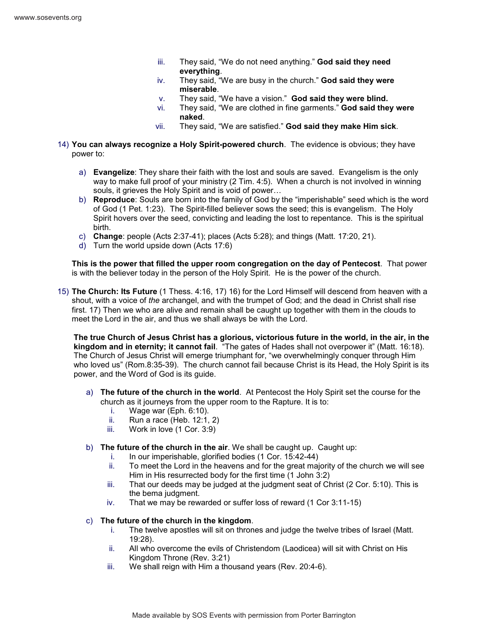- iii. They said, "We do not need anything." **God said they need everything**.
- iv. They said, "We are busy in the church." **God said they were miserable**.
- v. They said, "We have a vision." **God said they were blind.**
- vi. They said, "We are clothed in fine garments." **God said they were naked**.
- vii. They said, "We are satisfied." **God said they make Him sick**.
- 14) **You can always recognize a Holy Spirit-powered church**. The evidence is obvious; they have power to:
	- a) **Evangelize**: They share their faith with the lost and souls are saved. Evangelism is the only way to make full proof of your ministry (2 Tim. 4:5). When a church is not involved in winning souls, it grieves the Holy Spirit and is void of power…
	- b) **Reproduce**: Souls are born into the family of God by the "imperishable" seed which is the word of God (1 Pet. 1:23). The Spirit-filled believer sows the seed; this is evangelism. The Holy Spirit hovers over the seed, convicting and leading the lost to repentance. This is the spiritual birth.
	- c) **Change**: people (Acts 2:37-41); places (Acts 5:28); and things (Matt. 17:20, 21).
	- d) Turn the world upside down (Acts 17:6)

**This is the power that filled the upper room congregation on the day of Pentecost**. That power is with the believer today in the person of the Holy Spirit. He is the power of the church.

15) **The Church: Its Future** (1 Thess. 4:16, 17) 16) for the Lord Himself will descend from heaven with a shout, with a voice of *the* archangel, and with the trumpet of God; and the dead in Christ shall rise first. 17) Then we who are alive and remain shall be caught up together with them in the clouds to meet the Lord in the air, and thus we shall always be with the Lord.

**The true Church of Jesus Christ has a glorious, victorious future in the world, in the air, in the kingdom and in eternity; it cannot fail**. "The gates of Hades shall not overpower it" (Matt. 16:18). The Church of Jesus Christ will emerge triumphant for, "we overwhelmingly conquer through Him who loved us" (Rom.8:35-39). The church cannot fail because Christ is its Head, the Holy Spirit is its power, and the Word of God is its guide.

- a) **The future of the church in the world**. At Pentecost the Holy Spirit set the course for the church as it journeys from the upper room to the Rapture. It is to:
	- i. Wage war (Eph. 6:10).
	- ii. Run a race (Heb. 12:1, 2)
	- iii. Work in love (1 Cor. 3:9)
- b) **The future of the church in the air**. We shall be caught up. Caught up:
	- i. In our imperishable, glorified bodies (1 Cor. 15:42-44)
	- ii. To meet the Lord in the heavens and for the great majority of the church we will see Him in His resurrected body for the first time (1 John 3:2)
	- iii. That our deeds may be judged at the judgment seat of Christ (2 Cor. 5:10). This is the bema judgment.
	- iv. That we may be rewarded or suffer loss of reward (1 Cor 3:11-15)

## c) **The future of the church in the kingdom**.

- i. The twelve apostles will sit on thrones and judge the twelve tribes of Israel (Matt. 19:28).
- ii. All who overcome the evils of Christendom (Laodicea) will sit with Christ on His Kingdom Throne (Rev. 3:21)
- iii. We shall reign with Him a thousand years (Rev. 20:4-6).